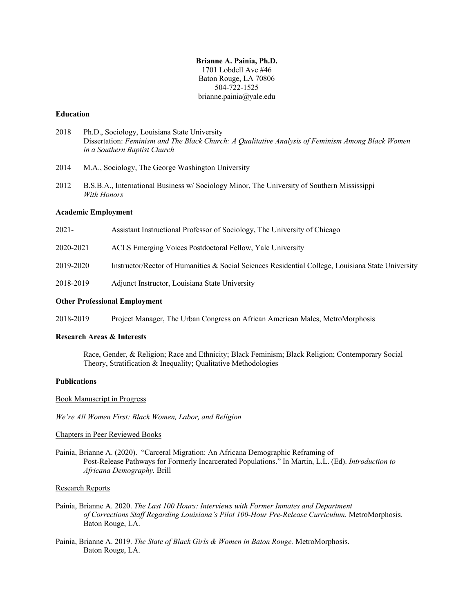# **Brianne A. Painia, Ph.D.** 1701 Lobdell Ave #46 Baton Rouge, LA 70806 504-722-1525 brianne.painia@yale.edu

#### **Education**

- 2018 Ph.D., Sociology, Louisiana State University Dissertation: *Feminism and The Black Church: A Qualitative Analysis of Feminism Among Black Women in a Southern Baptist Church*
- 2014 M.A., Sociology, The George Washington University
- 2012 B.S.B.A., International Business w/ Sociology Minor, The University of Southern Mississippi *With Honors*

### **Academic Employment**

| 2018-2019 | Adjunct Instructor, Louisiana State University                                                    |
|-----------|---------------------------------------------------------------------------------------------------|
| 2019-2020 | Instructor/Rector of Humanities & Social Sciences Residential College, Louisiana State University |
| 2020-2021 | ACLS Emerging Voices Postdoctoral Fellow, Yale University                                         |
| 2021-     | Assistant Instructional Professor of Sociology, The University of Chicago                         |

## **Other Professional Employment**

2018-2019 Project Manager, The Urban Congress on African American Males, MetroMorphosis

# **Research Areas & Interests**

Race, Gender, & Religion; Race and Ethnicity; Black Feminism; Black Religion; Contemporary Social Theory, Stratification & Inequality; Qualitative Methodologies

### **Publications**

Book Manuscript in Progress

*We're All Women First: Black Women, Labor, and Religion* 

# Chapters in Peer Reviewed Books

Painia, Brianne A. (2020). "Carceral Migration: An Africana Demographic Reframing of Post-Release Pathways for Formerly Incarcerated Populations." In Martin, L.L. (Ed). *Introduction to Africana Demography.* Brill

#### Research Reports

- Painia, Brianne A. 2020. *The Last 100 Hours: Interviews with Former Inmates and Department of Corrections Staff Regarding Louisiana's Pilot 100-Hour Pre-Release Curriculum.* MetroMorphosis. Baton Rouge, LA.
- Painia, Brianne A. 2019. *The State of Black Girls & Women in Baton Rouge.* MetroMorphosis. Baton Rouge, LA.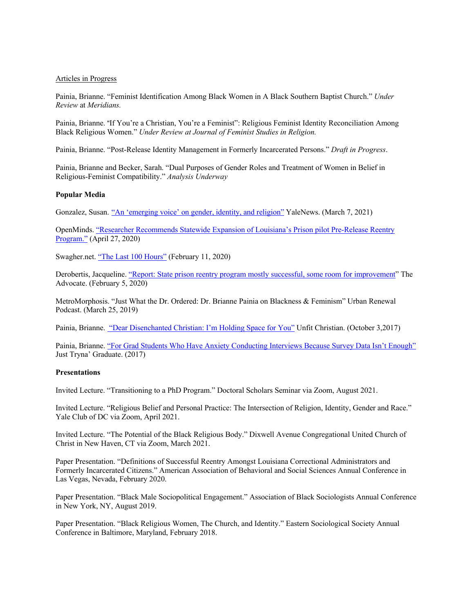#### Articles in Progress

Painia, Brianne. "Feminist Identification Among Black Women in A Black Southern Baptist Church." *Under Review* at *Meridians.*

Painia, Brianne. "If You're a Christian, You're a Feminist": Religious Feminist Identity Reconciliation Among Black Religious Women." *Under Review at Journal of Feminist Studies in Religion.*

Painia, Brianne. "Post-Release Identity Management in Formerly Incarcerated Persons." *Draft in Progress*.

Painia, Brianne and Becker, Sarah. "Dual Purposes of Gender Roles and Treatment of Women in Belief in Religious-Feminist Compatibility." *Analysis Underway*

## **Popular Media**

Gonzalez, Susan. "An 'emerging voice' on gender, identity, and religion" YaleNews. (March 7, 2021)

OpenMinds. "Researcher Recommends Statewide Expansion of Louisiana's Prison pilot Pre-Release Reentry Program." (April 27, 2020)

Swagher.net. "The Last 100 Hours" (February 11, 2020)

Derobertis, Jacqueline. "Report: State prison reentry program mostly successful, some room for improvement" The Advocate. (February 5, 2020)

MetroMorphosis. "Just What the Dr. Ordered: Dr. Brianne Painia on Blackness & Feminism" Urban Renewal Podcast. (March 25, 2019)

Painia, Brianne. "Dear Disenchanted Christian: I'm Holding Space for You" Unfit Christian. (October 3,2017)

Painia, Brianne. "For Grad Students Who Have Anxiety Conducting Interviews Because Survey Data Isn't Enough" Just Tryna' Graduate. (2017)

### **Presentations**

Invited Lecture. "Transitioning to a PhD Program." Doctoral Scholars Seminar via Zoom, August 2021.

Invited Lecture. "Religious Belief and Personal Practice: The Intersection of Religion, Identity, Gender and Race." Yale Club of DC via Zoom, April 2021.

Invited Lecture. "The Potential of the Black Religious Body." Dixwell Avenue Congregational United Church of Christ in New Haven, CT via Zoom, March 2021.

Paper Presentation. "Definitions of Successful Reentry Amongst Louisiana Correctional Administrators and Formerly Incarcerated Citizens." American Association of Behavioral and Social Sciences Annual Conference in Las Vegas, Nevada, February 2020.

Paper Presentation. "Black Male Sociopolitical Engagement." Association of Black Sociologists Annual Conference in New York, NY, August 2019.

Paper Presentation. "Black Religious Women, The Church, and Identity." Eastern Sociological Society Annual Conference in Baltimore, Maryland, February 2018.